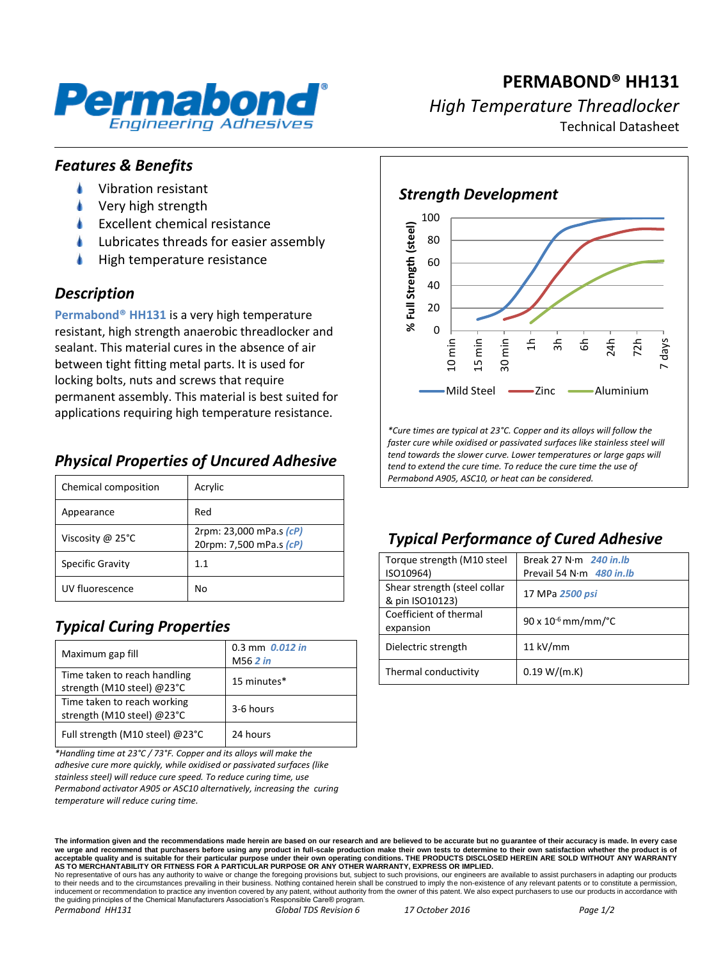

**PERMABOND® HH131** *High Temperature Threadlocker* Technical Datasheet

#### *Features & Benefits*

- Vibration resistant
- Very high strength
- Excellent chemical resistance
- Lubricates threads for easier assembly
- High temperature resistance

#### *Description*

**Permabond® HH131** is a very high temperature resistant, high strength anaerobic threadlocker and sealant. This material cures in the absence of air between tight fitting metal parts. It is used for locking bolts, nuts and screws that require permanent assembly. This material is best suited for applications requiring high temperature resistance.

### *Physical Properties of Uncured Adhesive*

| Chemical composition    | Acrylic                                            |
|-------------------------|----------------------------------------------------|
| Appearance              | Red                                                |
| Viscosity @ 25°C        | 2rpm: 23,000 mPa.s (cP)<br>20rpm: 7,500 mPa.s (cP) |
| <b>Specific Gravity</b> | 1.1                                                |
| UV fluorescence         | No                                                 |

# *Typical Curing Properties*

| Maximum gap fill                                           | 0.3 mm 0.012 in<br>M56 2 in |
|------------------------------------------------------------|-----------------------------|
| Time taken to reach handling<br>strength (M10 steel) @23°C | 15 minutes*                 |
| Time taken to reach working<br>strength (M10 steel) @23°C  | 3-6 hours                   |
| Full strength (M10 steel) @23°C                            | 24 hours                    |

*\*Handling time at 23°C / 73°F. Copper and its alloys will make the adhesive cure more quickly, while oxidised or passivated surfaces (like stainless steel) will reduce cure speed. To reduce curing time, use Permabond activator A905 or ASC10 alternatively, increasing the curing temperature will reduce curing time.*

80 100 *Strength Development*



*\*Cure times are typical at 23°C. Copper and its alloys will follow the faster cure while oxidised or passivated surfaces like stainless steel will tend towards the slower curve. Lower temperatures or large gaps will tend to extend the cure time. To reduce the cure time the use of Permabond A905, ASC10, or heat can be considered.*

## *Typical Performance of Cured Adhesive*

| Torque strength (M10 steel                      | Break 27 N $\cdot$ m 240 in.lb    |
|-------------------------------------------------|-----------------------------------|
| ISO10964)                                       | Prevail 54 N $\cdot$ m 480 in. Ib |
| Shear strength (steel collar<br>& pin ISO10123) | 17 MPa 2500 psi                   |
| Coefficient of thermal<br>expansion             | $90 \times 10^{-6}$ mm/mm/°C      |
| Dielectric strength                             | $11$ kV/mm                        |
| Thermal conductivity                            | 0.19 W/(m.K)                      |

**The information given and the recommendations made herein are based on our research and are believed to be accurate but no guarantee of their accuracy is made. In every case**  we urge and recommend that purchasers before using any product in full-scale production make their own tests to determine to their own satisfaction whether the produ acceptable quality and is suitable for their particular purpose under their own operating conditions. THE PRODUCTS DISCLOSED HEREIN ARE SOLD WITHOUT ANY WARRANTY<br>AS TO MERCHANTABILITY OR FITNESS FOR A PARTICULAR PURPOSE OR

No representative of ours has any authority to waive or change the foregoing provisions but, subject to such provisions, our engineers are available to assist purchasers in adapting our products to their needs and to the circumstances prevailing in their business. Nothing contained herein shall be construed to imply the non-existence of any relevant patents or to constitute a permission,<br>inducement or recommendati the guiding principles of the Chemical Manufacturers Association's Responsible Care® program.

*Permabond HH131 Global TDS Revision 6 17 October 2016 Page 1/2*